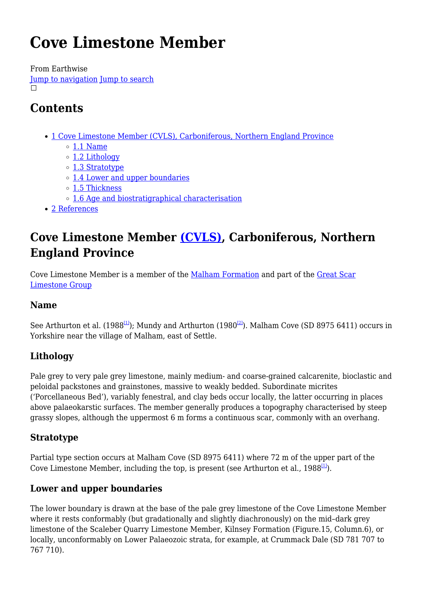# **Cove Limestone Member**

From Earthwise [Jump to navigation](#page--1-0) [Jump to search](#page--1-0)  $\Box$ 

# **Contents**

- [1](#Cove_Limestone_Member_.28CVLS.29.2C_Carboniferous.2C_Northern_England_Province) [Cove Limestone Member \(CVLS\), Carboniferous, Northern England Province](#Cove_Limestone_Member_.28CVLS.29.2C_Carboniferous.2C_Northern_England_Province)
	- $\circ$  [1.1](#page--1-0) [Name](#page--1-0)
	- o [1.2](#page--1-0) [Lithology](#page--1-0)
	- [1.3](#page--1-0) [Stratotype](#page--1-0)
	- [1.4](#page--1-0) [Lower and upper boundaries](#page--1-0)
	- [1.5](#page--1-0) [Thickness](#page--1-0)
	- [1.6](#page--1-0) [Age and biostratigraphical characterisation](#page--1-0)
- [2](#page--1-0) [References](#page--1-0)

# **Cove Limestone Member [\(CVLS\)](http://www.bgs.ac.uk/lexicon/lexicon.cfm?pub=CVLS), Carboniferous, Northern England Province**

Cove Limestone Member is a member of the [Malham Formation](http://earthwise.bgs.ac.uk/index.php/Malham_Formation) and part of the [Great Scar](http://earthwise.bgs.ac.uk/index.php?title=Great_Scar_Limestone_Group&action=edit&redlink=1) [Limestone Group](http://earthwise.bgs.ac.uk/index.php?title=Great_Scar_Limestone_Group&action=edit&redlink=1)

### **Name**

See Arthurton et al. (1988<sup>[\[1\]](#page--1-0)</sup>); Mundy and Arthurton (1980<sup>[\[2\]](#page--1-0)</sup>). Malham Cove (SD 8975 6411) occurs in Yorkshire near the village of Malham, east of Settle.

### **Lithology**

Pale grey to very pale grey limestone, mainly medium- and coarse-grained calcarenite, bioclastic and peloidal packstones and grainstones, massive to weakly bedded. Subordinate micrites ('Porcellaneous Bed'), variably fenestral, and clay beds occur locally, the latter occurring in places above palaeokarstic surfaces. The member generally produces a topography characterised by steep grassy slopes, although the uppermost 6 m forms a continuous scar, commonly with an overhang.

### **Stratotype**

Partial type section occurs at Malham Cove (SD 8975 6411) where 72 m of the upper part of the Cove Limestone Member, including the top, is present (see Arthurton et al., 1988<sup>[\[1\]](#page--1-0)</sup>).

### **Lower and upper boundaries**

The lower boundary is drawn at the base of the pale grey limestone of the Cove Limestone Member where it rests conformably (but gradationally and slightly diachronously) on the mid–dark grey limestone of the Scaleber Quarry Limestone Member, Kilnsey Formation (Figure.15, Column.6), or locally, unconformably on Lower Palaeozoic strata, for example, at Crummack Dale (SD 781 707 to 767 710).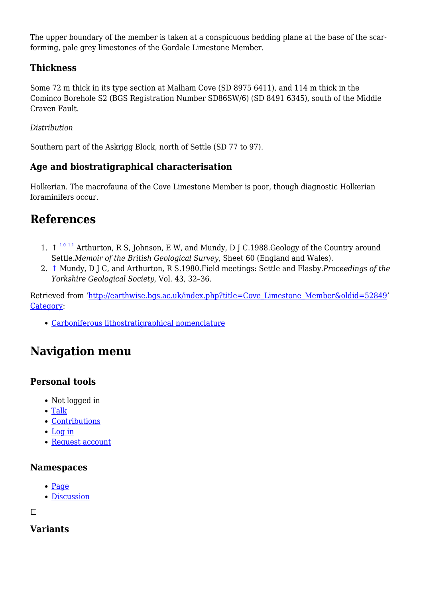The upper boundary of the member is taken at a conspicuous bedding plane at the base of the scarforming, pale grey limestones of the Gordale Limestone Member.

### **Thickness**

Some 72 m thick in its type section at Malham Cove (SD 8975 6411), and 114 m thick in the Cominco Borehole S2 (BGS Registration Number SD86SW/6) (SD 8491 6345), south of the Middle Craven Fault.

#### *Distribution*

Southern part of the Askrigg Block, north of Settle (SD 77 to 97).

### **Age and biostratigraphical characterisation**

Holkerian. The macrofauna of the Cove Limestone Member is poor, though diagnostic Holkerian foraminifers occur.

### **References**

- 1.  $\uparrow$  <sup>[1.0](#page--1-0) [1.1](#page--1-0)</sup> Arthurton, R S, Johnson, E W, and Mundy, D J C.1988.Geology of the Country around Settle.*Memoir of the British Geological Survey*, Sheet 60 (England and Wales).
- 2. [↑](#page--1-0) Mundy, D J C, and Arthurton, R S.1980.Field meetings: Settle and Flasby.*Proceedings of the Yorkshire Geological Society*, Vol. 43, 32–36.

Retrieved from ['http://earthwise.bgs.ac.uk/index.php?title=Cove\\_Limestone\\_Member&oldid=52849](http://earthwise.bgs.ac.uk/index.php?title=Cove_Limestone_Member&oldid=52849)' [Category](http://earthwise.bgs.ac.uk/index.php/Special:Categories):

[Carboniferous lithostratigraphical nomenclature](http://earthwise.bgs.ac.uk/index.php/Category:Carboniferous_lithostratigraphical_nomenclature)

## **Navigation menu**

### **Personal tools**

- Not logged in
- [Talk](http://earthwise.bgs.ac.uk/index.php/Special:MyTalk)
- [Contributions](http://earthwise.bgs.ac.uk/index.php/Special:MyContributions)
- [Log in](http://earthwise.bgs.ac.uk/index.php?title=Special:UserLogin&returnto=Cove+Limestone+Member&returntoquery=action%3Dmpdf)
- [Request account](http://earthwise.bgs.ac.uk/index.php/Special:RequestAccount)

### **Namespaces**

- [Page](http://earthwise.bgs.ac.uk/index.php/Cove_Limestone_Member)
- [Discussion](http://earthwise.bgs.ac.uk/index.php?title=Talk:Cove_Limestone_Member&action=edit&redlink=1)

 $\Box$ 

### **Variants**